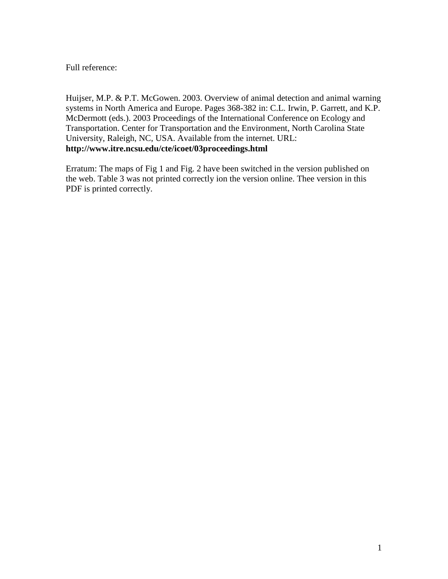Full reference:

Huijser, M.P. & P.T. McGowen. 2003. Overview of animal detection and animal warning systems in North America and Europe. Pages 368-382 in: C.L. Irwin, P. Garrett, and K.P. McDermott (eds.). 2003 Proceedings of the International Conference on Ecology and Transportation. Center for Transportation and the Environment, North Carolina State University, Raleigh, NC, USA. Available from the internet. URL: **http://www.itre.ncsu.edu/cte/icoet/03proceedings.html**

Erratum: The maps of Fig 1 and Fig. 2 have been switched in the version published on the web. Table 3 was not printed correctly ion the version online. Thee version in this PDF is printed correctly.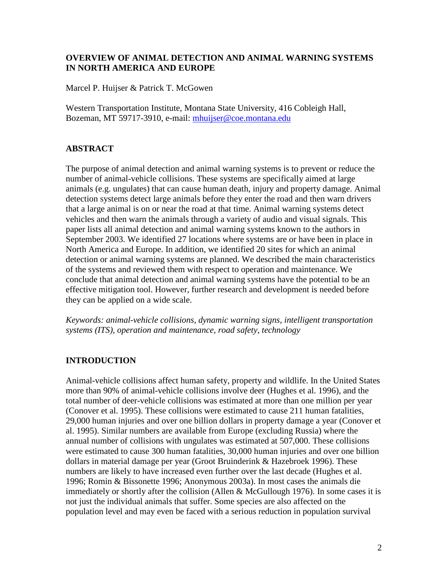# **OVERVIEW OF ANIMAL DETECTION AND ANIMAL WARNING SYSTEMS IN NORTH AMERICA AND EUROPE**

Marcel P. Huijser & Patrick T. McGowen

Western Transportation Institute, Montana State University, 416 Cobleigh Hall, Bozeman, MT 59717-3910, e-mail: [mhuijser@coe.montana.edu](mailto:mhuijser@coe.montana.edu)

# **ABSTRACT**

The purpose of animal detection and animal warning systems is to prevent or reduce the number of animal-vehicle collisions. These systems are specifically aimed at large animals (e.g. ungulates) that can cause human death, injury and property damage. Animal detection systems detect large animals before they enter the road and then warn drivers that a large animal is on or near the road at that time. Animal warning systems detect vehicles and then warn the animals through a variety of audio and visual signals. This paper lists all animal detection and animal warning systems known to the authors in September 2003. We identified 27 locations where systems are or have been in place in North America and Europe. In addition, we identified 20 sites for which an animal detection or animal warning systems are planned. We described the main characteristics of the systems and reviewed them with respect to operation and maintenance. We conclude that animal detection and animal warning systems have the potential to be an effective mitigation tool. However, further research and development is needed before they can be applied on a wide scale.

*Keywords: animal-vehicle collisions, dynamic warning signs, intelligent transportation systems (ITS), operation and maintenance, road safety, technology*

# **INTRODUCTION**

Animal-vehicle collisions affect human safety, property and wildlife. In the United States more than 90% of animal-vehicle collisions involve deer (Hughes et al. 1996), and the total number of deer-vehicle collisions was estimated at more than one million per year (Conover et al. 1995). These collisions were estimated to cause 211 human fatalities, 29,000 human injuries and over one billion dollars in property damage a year (Conover et al. 1995). Similar numbers are available from Europe (excluding Russia) where the annual number of collisions with ungulates was estimated at 507,000. These collisions were estimated to cause 300 human fatalities, 30,000 human injuries and over one billion dollars in material damage per year (Groot Bruinderink & Hazebroek 1996). These numbers are likely to have increased even further over the last decade (Hughes et al. 1996; Romin & Bissonette 1996; Anonymous 2003a). In most cases the animals die immediately or shortly after the collision (Allen  $&$  McGullough 1976). In some cases it is not just the individual animals that suffer. Some species are also affected on the population level and may even be faced with a serious reduction in population survival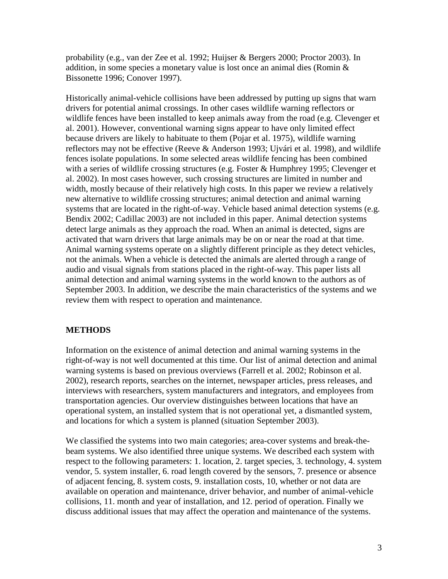probability (e.g., van der Zee et al. 1992; Huijser & Bergers 2000; Proctor 2003). In addition, in some species a monetary value is lost once an animal dies (Romin & Bissonette 1996; Conover 1997).

Historically animal-vehicle collisions have been addressed by putting up signs that warn drivers for potential animal crossings. In other cases wildlife warning reflectors or wildlife fences have been installed to keep animals away from the road (e.g. Clevenger et al. 2001). However, conventional warning signs appear to have only limited effect because drivers are likely to habituate to them (Pojar et al. 1975), wildlife warning reflectors may not be effective (Reeve & Anderson 1993; Ujvári et al. 1998), and wildlife fences isolate populations. In some selected areas wildlife fencing has been combined with a series of wildlife crossing structures (e.g. Foster & Humphrey 1995; Clevenger et al. 2002). In most cases however, such crossing structures are limited in number and width, mostly because of their relatively high costs. In this paper we review a relatively new alternative to wildlife crossing structures; animal detection and animal warning systems that are located in the right-of-way. Vehicle based animal detection systems (e.g. Bendix 2002; Cadillac 2003) are not included in this paper. Animal detection systems detect large animals as they approach the road. When an animal is detected, signs are activated that warn drivers that large animals may be on or near the road at that time. Animal warning systems operate on a slightly different principle as they detect vehicles, not the animals. When a vehicle is detected the animals are alerted through a range of audio and visual signals from stations placed in the right-of-way. This paper lists all animal detection and animal warning systems in the world known to the authors as of September 2003. In addition, we describe the main characteristics of the systems and we review them with respect to operation and maintenance.

# **METHODS**

Information on the existence of animal detection and animal warning systems in the right-of-way is not well documented at this time. Our list of animal detection and animal warning systems is based on previous overviews (Farrell et al. 2002; Robinson et al. 2002), research reports, searches on the internet, newspaper articles, press releases, and interviews with researchers, system manufacturers and integrators, and employees from transportation agencies. Our overview distinguishes between locations that have an operational system, an installed system that is not operational yet, a dismantled system, and locations for which a system is planned (situation September 2003).

We classified the systems into two main categories; area-cover systems and break-thebeam systems. We also identified three unique systems. We described each system with respect to the following parameters: 1. location, 2. target species, 3. technology, 4. system vendor, 5. system installer, 6. road length covered by the sensors, 7. presence or absence of adjacent fencing, 8. system costs, 9. installation costs, 10, whether or not data are available on operation and maintenance, driver behavior, and number of animal-vehicle collisions, 11. month and year of installation, and 12. period of operation. Finally we discuss additional issues that may affect the operation and maintenance of the systems.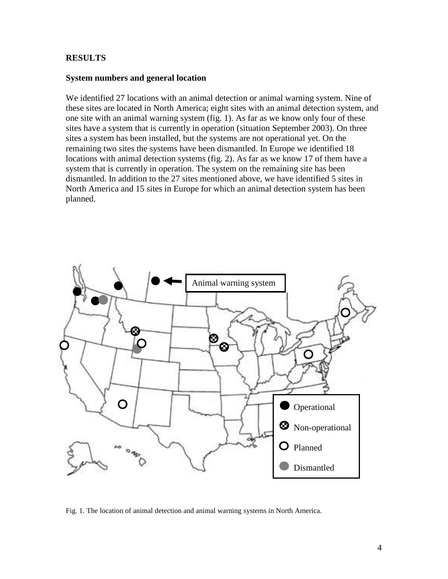# **RESULTS**

## **System numbers and general location**

We identified 27 locations with an animal detection or animal warning system. Nine of these sites are located in North America; eight sites with an animal detection system, and one site with an animal warning system (fig. 1). As far as we know only four of these sites have a system that is currently in operation (situation September 2003). On three sites a system has been installed, but the systems are not operational yet. On the remaining two sites the systems have been dismantled. In Europe we identified 18 locations with animal detection systems (fig. 2). As far as we know 17 of them have a system that is currently in operation. The system on the remaining site has been dismantled. In addition to the 27 sites mentioned above, we have identified 5 sites in North America and 15 sites in Europe for which an animal detection system has been planned.



Fig. 1. The location of animal detection and animal warning systems in North America.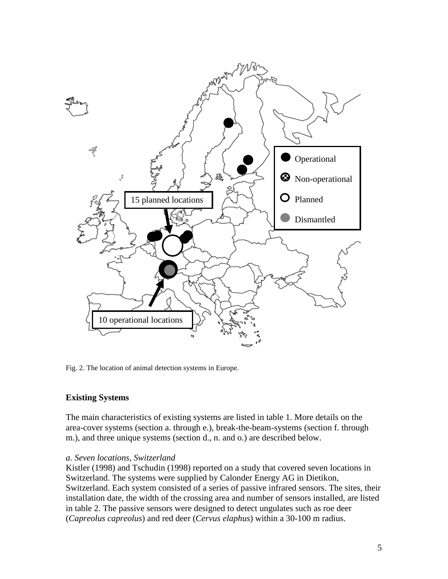

Fig. 2. The location of animal detection systems in Europe.

# **Existing Systems**

The main characteristics of existing systems are listed in table 1. More details on the area-cover systems (section a. through e.), break-the-beam-systems (section f. through m.), and three unique systems (section d., n. and o.) are described below.

# *a. Seven locations, Switzerland*

Kistler (1998) and Tschudin (1998) reported on a study that covered seven locations in Switzerland. The systems were supplied by Calonder Energy AG in Dietikon, Switzerland. Each system consisted of a series of passive infrared sensors. The sites, their installation date, the width of the crossing area and number of sensors installed, are listed in table 2. The passive sensors were designed to detect ungulates such as roe deer (*Capreolus capreolus*) and red deer (*Cervus elaphus*) within a 30-100 m radius.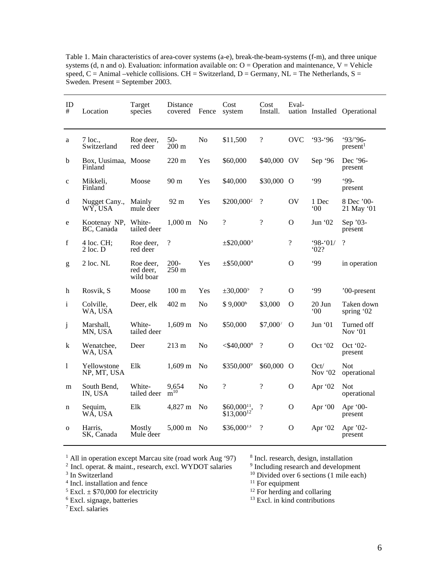Table 1. Main characteristics of area-cover systems (a-e), break-the-beam-systems (f-m), and three unique systems (d, n and o). Evaluation: information available on:  $O =$  Operation and maintenance,  $V =$  Vehicle speed, C = Animal –vehicle collisions. CH = Switzerland, D = Germany, NL = The Netherlands, S = Sweden. Present = September 2003.

| ID<br>#      | Location                       | Target<br>species                   | Distance<br>covered      | Fence          | Cost<br>system                      | Cost<br>Install.         | Eval-          |                        | uation Installed Operational      |
|--------------|--------------------------------|-------------------------------------|--------------------------|----------------|-------------------------------------|--------------------------|----------------|------------------------|-----------------------------------|
| a            | $7$ loc.,<br>Switzerland       | Roe deer,<br>red deer               | $50-$<br>$200 \text{ m}$ | No             | \$11,500                            | $\overline{\mathcal{L}}$ | <b>OVC</b>     | $93 - 96$              | $93/96 -$<br>present <sup>1</sup> |
| $\mathbf b$  | Box, Uusimaa, Moose<br>Finland |                                     | $220 \text{ m}$          | Yes            | \$60,000                            | \$40,000 OV              |                | Sep '96                | Dec '96-<br>present               |
| $\mathbf c$  | Mikkeli,<br>Finland            | Moose                               | 90 m                     | Yes            | \$40,000                            | \$30,000 O               |                | .99                    | $99 -$<br>present                 |
| d            | Nugget Cany.,<br>WY, USA       | Mainly<br>mule deer                 | 92 m                     | Yes            | \$200,000 <sup>2</sup>              | $\overline{\mathcal{L}}$ | OV             | 1 Dec<br>$00^{\circ}$  | 8 Dec '00-<br>21 May '01          |
| e            | Kootenay NP,<br>BC, Canada     | White-<br>tailed deer               | $1,000 \; \mathrm{m}$    | No             | $\overline{?}$                      | $\overline{\cdot}$       | O              | Jun $02$               | Sep '03-<br>present               |
| f            | $4$ loc. CH;<br>2 loc. D       | Roe deer,<br>red deer               | $\overline{?}$           |                | $\pm$ \$20,000 <sup>3</sup>         |                          | $\overline{?}$ | $98 - 01/$<br>02?      | $\gamma$                          |
| g            | $2$ loc. NL                    | Roe deer,<br>red deer,<br>wild boar | $200 -$<br>250 m         | Yes            | $±$ \$50,000 <sup>4</sup>           |                          | $\Omega$       | .99                    | in operation                      |
| h            | Rosvik, S                      | Moose                               | 100 <sub>m</sub>         | Yes            | $±30,000$ <sup>5</sup>              | $\overline{\mathcal{L}}$ | $\Omega$       | .99                    | '00-present                       |
| $\mathbf{i}$ | Colville,<br>WA, USA           | Deer, elk                           | $402 \text{ m}$          | N <sub>0</sub> | $$9,000^6$                          | \$3,000                  | O              | 20 Jun<br>$00^{\circ}$ | Taken down<br>spring '02          |
| j            | Marshall,<br>MN, USA           | White-<br>tailed deer               | $1,609 \; \mathrm{m}$    | N <sub>0</sub> | \$50,000                            | \$7,000                  | O              | Jun $`01$              | Turned off<br>Nov $01$            |
| k            | Wenatchee,<br>WA, USA          | Deer                                | 213 m                    | N <sub>o</sub> | $<$ \$40,000 $^8$                   | $\overline{\mathcal{C}}$ | $\mathcal{O}$  | Oct '02                | $Oct$ '02-<br>present             |
| 1            | Yellowstone<br>NP, MT, USA     | Elk                                 | 1,609 m                  | N <sub>0</sub> | \$350,000 <sup>9</sup>              | \$60,000                 | $\Omega$       | Oct/<br>Nov $02$       | Not<br>operational                |
| m            | South Bend,<br>IN, USA         | White-<br>tailed deer               | 9,654<br>$m^{10}$        | N <sub>0</sub> | $\overline{?}$                      | $\overline{\mathcal{L}}$ | O              | Apr '02                | <b>Not</b><br>operational         |
| n            | Sequim,<br>WÁ, USA             | Elk                                 | 4,827 m                  | N <sub>o</sub> | $$60,000^{11}$ ,<br>$$13,000^{12}$$ | $\overline{\mathcal{L}}$ | $\Omega$       | Apr '00                | Apr $'00-$<br>present             |
| $\mathbf 0$  | Harris.<br>SK. Canada          | Mostly<br>Mule deer                 | 5,000 m                  | N <sub>0</sub> | $$36,000^{13}$                      | $\overline{\mathcal{C}}$ | $\Omega$       | Apr '02                | Apr '02-<br>present               |

<sup>1</sup> All in operation except Marcau site (road work Aug '97) <sup>8</sup> Incl. research, design, installation <sup>2</sup> Incl. operat. & maint., research, excl. WYDOT salaries <sup>9</sup> Including research and development

<sup>2</sup> Incl. operat. & maint., research, excl. WYDOT salaries <sup>9</sup> Including research and development <sup>3</sup> In Switzerland <sup>10</sup> Divided over 6 sections (1 mile each) <sup>4</sup> Incl. installation and fence <sup>11</sup> For equipment

 $4$  Incl. installation and fence

<sup>5</sup> Excl.  $\pm$  \$70,000 for electricity <sup>6</sup> Excl. signage, batteries

7 Excl. salaries

 $\frac{12}{12}$  For herding and collaring  $\frac{13}{13}$  Excl. in kind contributions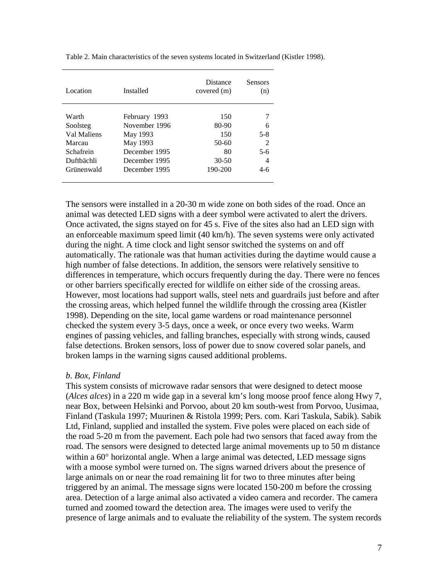| Location    | Installed     | <b>Distance</b><br>covered (m) | <b>Sensors</b><br>(n)       |
|-------------|---------------|--------------------------------|-----------------------------|
|             |               |                                |                             |
| Warth       | February 1993 | 150                            |                             |
| Soolsteg    | November 1996 | 80-90                          | 6                           |
| Val Maliens | May 1993      | 150                            | $5 - 8$                     |
| Marcau      | May 1993      | $50-60$                        | $\mathcal{D}_{\mathcal{L}}$ |
| Schafrein   | December 1995 | 80                             | 5-6                         |
| Duftbächli  | December 1995 | $30 - 50$                      | 4                           |
| Grünenwald  | December 1995 | 190-200                        | $4-6$                       |

Table 2. Main characteristics of the seven systems located in Switzerland (Kistler 1998).

The sensors were installed in a 20-30 m wide zone on both sides of the road. Once an animal was detected LED signs with a deer symbol were activated to alert the drivers. Once activated, the signs stayed on for 45 s. Five of the sites also had an LED sign with an enforceable maximum speed limit (40 km/h). The seven systems were only activated during the night. A time clock and light sensor switched the systems on and off automatically. The rationale was that human activities during the daytime would cause a high number of false detections. In addition, the sensors were relatively sensitive to differences in temperature, which occurs frequently during the day. There were no fences or other barriers specifically erected for wildlife on either side of the crossing areas. However, most locations had support walls, steel nets and guardrails just before and after the crossing areas, which helped funnel the wildlife through the crossing area (Kistler 1998). Depending on the site, local game wardens or road maintenance personnel checked the system every 3-5 days, once a week, or once every two weeks. Warm engines of passing vehicles, and falling branches, especially with strong winds, caused false detections. Broken sensors, loss of power due to snow covered solar panels, and broken lamps in the warning signs caused additional problems.

### *b. Box, Finland*

This system consists of microwave radar sensors that were designed to detect moose (*Alces alces*) in a 220 m wide gap in a several km's long moose proof fence along Hwy 7, near Box, between Helsinki and Porvoo, about 20 km south-west from Porvoo, Uusimaa, Finland (Taskula 1997; Muurinen & Ristola 1999; Pers. com. Kari Taskula, Sabik). Sabik Ltd, Finland, supplied and installed the system. Five poles were placed on each side of the road 5-20 m from the pavement. Each pole had two sensors that faced away from the road. The sensors were designed to detected large animal movements up to 50 m distance within a  $60^{\circ}$  horizontal angle. When a large animal was detected, LED message signs with a moose symbol were turned on. The signs warned drivers about the presence of large animals on or near the road remaining lit for two to three minutes after being triggered by an animal. The message signs were located 150-200 m before the crossing area. Detection of a large animal also activated a video camera and recorder. The camera turned and zoomed toward the detection area. The images were used to verify the presence of large animals and to evaluate the reliability of the system. The system records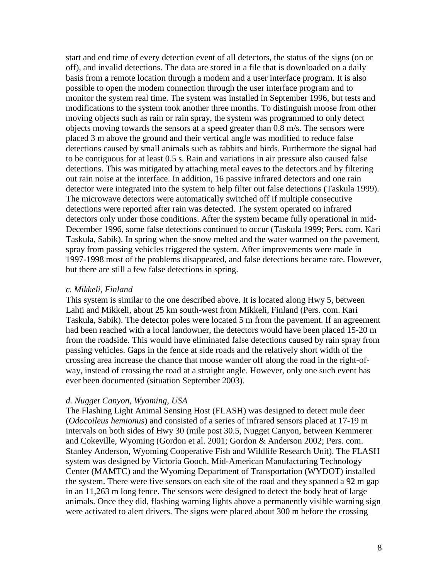start and end time of every detection event of all detectors, the status of the signs (on or off), and invalid detections. The data are stored in a file that is downloaded on a daily basis from a remote location through a modem and a user interface program. It is also possible to open the modem connection through the user interface program and to monitor the system real time. The system was installed in September 1996, but tests and modifications to the system took another three months. To distinguish moose from other moving objects such as rain or rain spray, the system was programmed to only detect objects moving towards the sensors at a speed greater than 0.8 m/s. The sensors were placed 3 m above the ground and their vertical angle was modified to reduce false detections caused by small animals such as rabbits and birds. Furthermore the signal had to be contiguous for at least 0.5 s. Rain and variations in air pressure also caused false detections. This was mitigated by attaching metal eaves to the detectors and by filtering out rain noise at the interface. In addition, 16 passive infrared detectors and one rain detector were integrated into the system to help filter out false detections (Taskula 1999). The microwave detectors were automatically switched off if multiple consecutive detections were reported after rain was detected. The system operated on infrared detectors only under those conditions. After the system became fully operational in mid-December 1996, some false detections continued to occur (Taskula 1999; Pers. com. Kari Taskula, Sabik). In spring when the snow melted and the water warmed on the pavement, spray from passing vehicles triggered the system. After improvements were made in 1997-1998 most of the problems disappeared, and false detections became rare. However, but there are still a few false detections in spring.

#### *c. Mikkeli, Finland*

This system is similar to the one described above. It is located along Hwy 5, between Lahti and Mikkeli, about 25 km south-west from Mikkeli, Finland (Pers. com. Kari Taskula, Sabik). The detector poles were located 5 m from the pavement. If an agreement had been reached with a local landowner, the detectors would have been placed 15-20 m from the roadside. This would have eliminated false detections caused by rain spray from passing vehicles. Gaps in the fence at side roads and the relatively short width of the crossing area increase the chance that moose wander off along the road in the right-ofway, instead of crossing the road at a straight angle. However, only one such event has ever been documented (situation September 2003).

### *d. Nugget Canyon, Wyoming, USA*

The Flashing Light Animal Sensing Host (FLASH) was designed to detect mule deer (*Odocoileus hemionus*) and consisted of a series of infrared sensors placed at 17-19 m intervals on both sides of Hwy 30 (mile post 30.5, Nugget Canyon, between Kemmerer and Cokeville, Wyoming (Gordon et al. 2001; Gordon & Anderson 2002; Pers. com. Stanley Anderson, Wyoming Cooperative Fish and Wildlife Research Unit). The FLASH system was designed by Victoria Gooch. Mid-American Manufacturing Technology Center (MAMTC) and the Wyoming Department of Transportation (WYDOT) installed the system. There were five sensors on each site of the road and they spanned a 92 m gap in an 11,263 m long fence. The sensors were designed to detect the body heat of large animals. Once they did, flashing warning lights above a permanently visible warning sign were activated to alert drivers. The signs were placed about 300 m before the crossing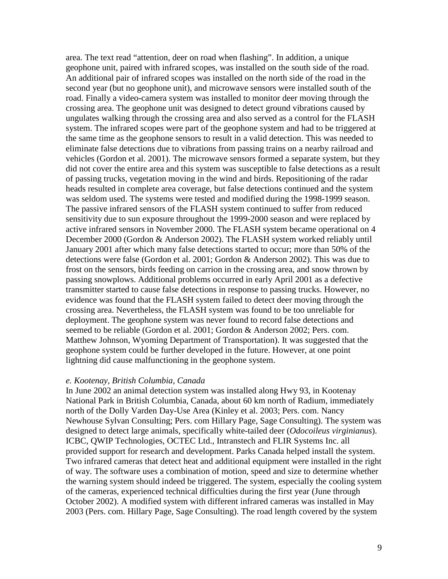area. The text read "attention, deer on road when flashing". In addition, a unique geophone unit, paired with infrared scopes, was installed on the south side of the road. An additional pair of infrared scopes was installed on the north side of the road in the second year (but no geophone unit), and microwave sensors were installed south of the road. Finally a video-camera system was installed to monitor deer moving through the crossing area. The geophone unit was designed to detect ground vibrations caused by ungulates walking through the crossing area and also served as a control for the FLASH system. The infrared scopes were part of the geophone system and had to be triggered at the same time as the geophone sensors to result in a valid detection. This was needed to eliminate false detections due to vibrations from passing trains on a nearby railroad and vehicles (Gordon et al. 2001). The microwave sensors formed a separate system, but they did not cover the entire area and this system was susceptible to false detections as a result of passing trucks, vegetation moving in the wind and birds. Repositioning of the radar heads resulted in complete area coverage, but false detections continued and the system was seldom used. The systems were tested and modified during the 1998-1999 season. The passive infrared sensors of the FLASH system continued to suffer from reduced sensitivity due to sun exposure throughout the 1999-2000 season and were replaced by active infrared sensors in November 2000. The FLASH system became operational on 4 December 2000 (Gordon & Anderson 2002). The FLASH system worked reliably until January 2001 after which many false detections started to occur; more than 50% of the detections were false (Gordon et al. 2001; Gordon & Anderson 2002). This was due to frost on the sensors, birds feeding on carrion in the crossing area, and snow thrown by passing snowplows. Additional problems occurred in early April 2001 as a defective transmitter started to cause false detections in response to passing trucks. However, no evidence was found that the FLASH system failed to detect deer moving through the crossing area. Nevertheless, the FLASH system was found to be too unreliable for deployment. The geophone system was never found to record false detections and seemed to be reliable (Gordon et al. 2001; Gordon & Anderson 2002; Pers. com. Matthew Johnson, Wyoming Department of Transportation). It was suggested that the geophone system could be further developed in the future. However, at one point lightning did cause malfunctioning in the geophone system.

#### *e. Kootenay, British Columbia, Canada*

In June 2002 an animal detection system was installed along Hwy 93, in Kootenay National Park in British Columbia, Canada, about 60 km north of Radium, immediately north of the Dolly Varden Day-Use Area (Kinley et al. 2003; Pers. com. Nancy Newhouse Sylvan Consulting; Pers. com Hillary Page, Sage Consulting). The system was designed to detect large animals, specifically white-tailed deer (*Odocoileus virginianus*). ICBC, QWIP Technologies, OCTEC Ltd., Intranstech and FLIR Systems Inc. all provided support for research and development. Parks Canada helped install the system. Two infrared cameras that detect heat and additional equipment were installed in the right of way. The software uses a combination of motion, speed and size to determine whether the warning system should indeed be triggered. The system, especially the cooling system of the cameras, experienced technical difficulties during the first year (June through October 2002). A modified system with different infrared cameras was installed in May 2003 (Pers. com. Hillary Page, Sage Consulting). The road length covered by the system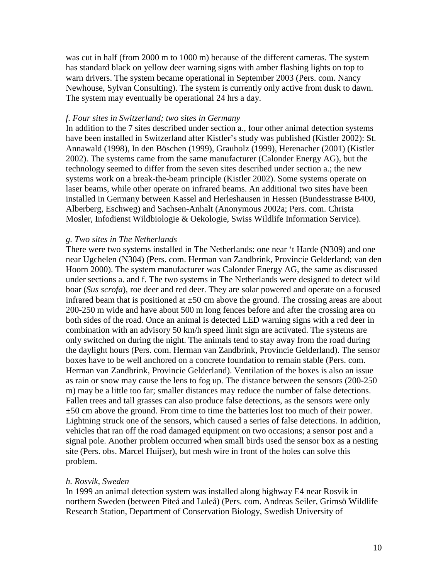was cut in half (from 2000 m to 1000 m) because of the different cameras. The system has standard black on yellow deer warning signs with amber flashing lights on top to warn drivers. The system became operational in September 2003 (Pers. com. Nancy Newhouse, Sylvan Consulting). The system is currently only active from dusk to dawn. The system may eventually be operational 24 hrs a day.

### *f. Four sites in Switzerland; two sites in Germany*

In addition to the 7 sites described under section a., four other animal detection systems have been installed in Switzerland after Kistler's study was published (Kistler 2002): St. Annawald (1998), In den Böschen (1999), Grauholz (1999), Herenacher (2001) (Kistler 2002). The systems came from the same manufacturer (Calonder Energy AG), but the technology seemed to differ from the seven sites described under section a.; the new systems work on a break-the-beam principle (Kistler 2002). Some systems operate on laser beams, while other operate on infrared beams. An additional two sites have been installed in Germany between Kassel and Herleshausen in Hessen (Bundesstrasse B400, Alberberg, Eschweg) and Sachsen-Anhalt (Anonymous 2002a; Pers. com. Christa Mosler, Infodienst Wildbiologie & Oekologie, Swiss Wildlife Information Service).

#### *g. Two sites in The Netherlands*

There were two systems installed in The Netherlands: one near 't Harde (N309) and one near Ugchelen (N304) (Pers. com. Herman van Zandbrink, Provincie Gelderland; van den Hoorn 2000). The system manufacturer was Calonder Energy AG, the same as discussed under sections a. and f. The two systems in The Netherlands were designed to detect wild boar (*Sus scrofa*), roe deer and red deer. They are solar powered and operate on a focused infrared beam that is positioned at  $\pm 50$  cm above the ground. The crossing areas are about 200-250 m wide and have about 500 m long fences before and after the crossing area on both sides of the road. Once an animal is detected LED warning signs with a red deer in combination with an advisory 50 km/h speed limit sign are activated. The systems are only switched on during the night. The animals tend to stay away from the road during the daylight hours (Pers. com. Herman van Zandbrink, Provincie Gelderland). The sensor boxes have to be well anchored on a concrete foundation to remain stable (Pers. com. Herman van Zandbrink, Provincie Gelderland). Ventilation of the boxes is also an issue as rain or snow may cause the lens to fog up. The distance between the sensors (200-250 m) may be a little too far; smaller distances may reduce the number of false detections. Fallen trees and tall grasses can also produce false detections, as the sensors were only ±50 cm above the ground. From time to time the batteries lost too much of their power. Lightning struck one of the sensors, which caused a series of false detections. In addition, vehicles that ran off the road damaged equipment on two occasions; a sensor post and a signal pole. Another problem occurred when small birds used the sensor box as a nesting site (Pers. obs. Marcel Huijser), but mesh wire in front of the holes can solve this problem.

#### *h. Rosvik, Sweden*

In 1999 an animal detection system was installed along highway E4 near Rosvik in northern Sweden (between Piteå and Luleå) (Pers. com. Andreas Seiler, Grimsö Wildlife Research Station, Department of Conservation Biology, Swedish University of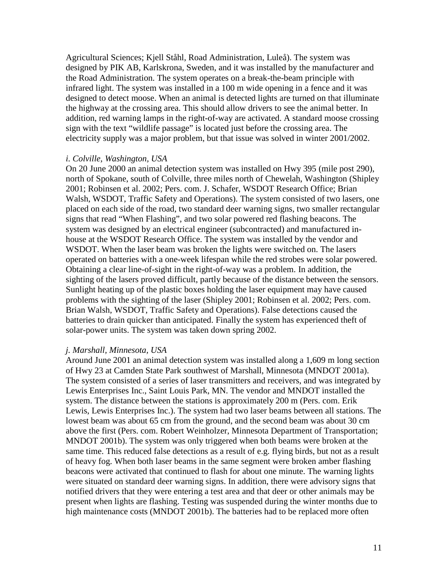Agricultural Sciences; Kjell Ståhl, Road Administration, Luleå). The system was designed by PIK AB, Karlskrona, Sweden, and it was installed by the manufacturer and the Road Administration. The system operates on a break-the-beam principle with infrared light. The system was installed in a 100 m wide opening in a fence and it was designed to detect moose. When an animal is detected lights are turned on that illuminate the highway at the crossing area. This should allow drivers to see the animal better. In addition, red warning lamps in the right-of-way are activated. A standard moose crossing sign with the text "wildlife passage" is located just before the crossing area. The electricity supply was a major problem, but that issue was solved in winter 2001/2002.

### *i. Colville, Washington, USA*

On 20 June 2000 an animal detection system was installed on Hwy 395 (mile post 290), north of Spokane, south of Colville, three miles north of Chewelah, Washington (Shipley 2001; Robinsen et al. 2002; Pers. com. J. Schafer, WSDOT Research Office; Brian Walsh, WSDOT, Traffic Safety and Operations). The system consisted of two lasers, one placed on each side of the road, two standard deer warning signs, two smaller rectangular signs that read "When Flashing", and two solar powered red flashing beacons. The system was designed by an electrical engineer (subcontracted) and manufactured inhouse at the WSDOT Research Office. The system was installed by the vendor and WSDOT. When the laser beam was broken the lights were switched on. The lasers operated on batteries with a one-week lifespan while the red strobes were solar powered. Obtaining a clear line-of-sight in the right-of-way was a problem. In addition, the sighting of the lasers proved difficult, partly because of the distance between the sensors. Sunlight heating up of the plastic boxes holding the laser equipment may have caused problems with the sighting of the laser (Shipley 2001; Robinsen et al. 2002; Pers. com. Brian Walsh, WSDOT, Traffic Safety and Operations). False detections caused the batteries to drain quicker than anticipated. Finally the system has experienced theft of solar-power units. The system was taken down spring 2002.

### *j. Marshall, Minnesota, USA*

Around June 2001 an animal detection system was installed along a 1,609 m long section of Hwy 23 at Camden State Park southwest of Marshall, Minnesota (MNDOT 2001a). The system consisted of a series of laser transmitters and receivers, and was integrated by Lewis Enterprises Inc., Saint Louis Park, MN. The vendor and MNDOT installed the system. The distance between the stations is approximately 200 m (Pers. com. Erik Lewis, Lewis Enterprises Inc.). The system had two laser beams between all stations. The lowest beam was about 65 cm from the ground, and the second beam was about 30 cm above the first (Pers. com. Robert Weinholzer, Minnesota Department of Transportation; MNDOT 2001b). The system was only triggered when both beams were broken at the same time. This reduced false detections as a result of e.g. flying birds, but not as a result of heavy fog. When both laser beams in the same segment were broken amber flashing beacons were activated that continued to flash for about one minute. The warning lights were situated on standard deer warning signs. In addition, there were advisory signs that notified drivers that they were entering a test area and that deer or other animals may be present when lights are flashing. Testing was suspended during the winter months due to high maintenance costs (MNDOT 2001b). The batteries had to be replaced more often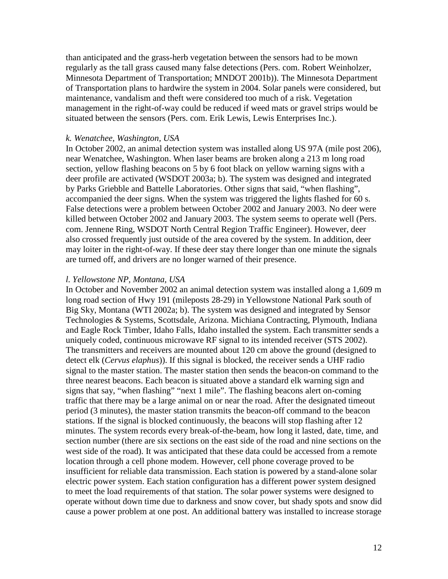than anticipated and the grass-herb vegetation between the sensors had to be mown regularly as the tall grass caused many false detections (Pers. com. Robert Weinholzer, Minnesota Department of Transportation; MNDOT 2001b)). The Minnesota Department of Transportation plans to hardwire the system in 2004. Solar panels were considered, but maintenance, vandalism and theft were considered too much of a risk. Vegetation management in the right-of-way could be reduced if weed mats or gravel strips would be situated between the sensors (Pers. com. Erik Lewis, Lewis Enterprises Inc.).

#### *k. Wenatchee, Washington, USA*

In October 2002, an animal detection system was installed along US 97A (mile post 206), near Wenatchee, Washington. When laser beams are broken along a 213 m long road section, yellow flashing beacons on 5 by 6 foot black on yellow warning signs with a deer profile are activated (WSDOT 2003a; b). The system was designed and integrated by Parks Griebble and Battelle Laboratories. Other signs that said, "when flashing", accompanied the deer signs. When the system was triggered the lights flashed for 60 s. False detections were a problem between October 2002 and January 2003. No deer were killed between October 2002 and January 2003. The system seems to operate well (Pers. com. Jennene Ring, WSDOT North Central Region Traffic Engineer). However, deer also crossed frequently just outside of the area covered by the system. In addition, deer may loiter in the right-of-way. If these deer stay there longer than one minute the signals are turned off, and drivers are no longer warned of their presence.

#### *l. Yellowstone NP, Montana, USA*

In October and November 2002 an animal detection system was installed along a 1,609 m long road section of Hwy 191 (mileposts 28-29) in Yellowstone National Park south of Big Sky, Montana (WTI 2002a; b). The system was designed and integrated by Sensor Technologies & Systems, Scottsdale, Arizona. Michiana Contracting, Plymouth, Indiana and Eagle Rock Timber, Idaho Falls, Idaho installed the system. Each transmitter sends a uniquely coded, continuous microwave RF signal to its intended receiver (STS 2002). The transmitters and receivers are mounted about 120 cm above the ground (designed to detect elk (*Cervus elaphus*)). If this signal is blocked, the receiver sends a UHF radio signal to the master station. The master station then sends the beacon-on command to the three nearest beacons. Each beacon is situated above a standard elk warning sign and signs that say, "when flashing" "next 1 mile". The flashing beacons alert on-coming traffic that there may be a large animal on or near the road. After the designated timeout period (3 minutes), the master station transmits the beacon-off command to the beacon stations. If the signal is blocked continuously, the beacons will stop flashing after 12 minutes. The system records every break-of-the-beam, how long it lasted, date, time, and section number (there are six sections on the east side of the road and nine sections on the west side of the road). It was anticipated that these data could be accessed from a remote location through a cell phone modem. However, cell phone coverage proved to be insufficient for reliable data transmission. Each station is powered by a stand-alone solar electric power system. Each station configuration has a different power system designed to meet the load requirements of that station. The solar power systems were designed to operate without down time due to darkness and snow cover, but shady spots and snow did cause a power problem at one post. An additional battery was installed to increase storage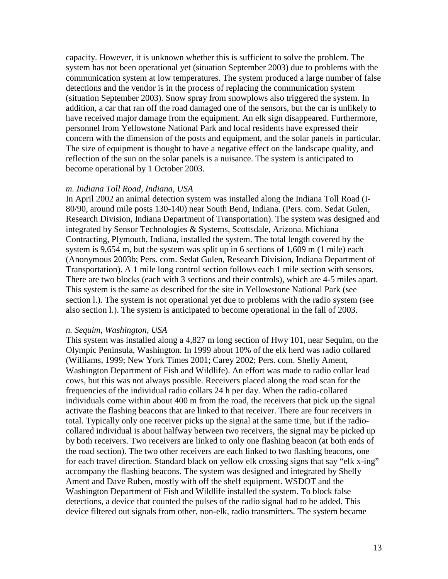capacity. However, it is unknown whether this is sufficient to solve the problem. The system has not been operational yet (situation September 2003) due to problems with the communication system at low temperatures. The system produced a large number of false detections and the vendor is in the process of replacing the communication system (situation September 2003). Snow spray from snowplows also triggered the system. In addition, a car that ran off the road damaged one of the sensors, but the car is unlikely to have received major damage from the equipment. An elk sign disappeared. Furthermore, personnel from Yellowstone National Park and local residents have expressed their concern with the dimension of the posts and equipment, and the solar panels in particular. The size of equipment is thought to have a negative effect on the landscape quality, and reflection of the sun on the solar panels is a nuisance. The system is anticipated to become operational by 1 October 2003.

#### *m. Indiana Toll Road, Indiana, USA*

In April 2002 an animal detection system was installed along the Indiana Toll Road (I-80/90, around mile posts 130-140) near South Bend, Indiana. (Pers. com. Sedat Gulen, Research Division, Indiana Department of Transportation). The system was designed and integrated by Sensor Technologies & Systems, Scottsdale, Arizona. Michiana Contracting, Plymouth, Indiana, installed the system. The total length covered by the system is 9,654 m, but the system was split up in 6 sections of 1,609 m (1 mile) each (Anonymous 2003b; Pers. com. Sedat Gulen, Research Division, Indiana Department of Transportation). A 1 mile long control section follows each 1 mile section with sensors. There are two blocks (each with 3 sections and their controls), which are 4-5 miles apart. This system is the same as described for the site in Yellowstone National Park (see section l.). The system is not operational yet due to problems with the radio system (see also section l.). The system is anticipated to become operational in the fall of 2003.

#### *n. Sequim, Washington, USA*

This system was installed along a 4,827 m long section of Hwy 101, near Sequim, on the Olympic Peninsula, Washington. In 1999 about 10% of the elk herd was radio collared (Williams, 1999; New York Times 2001; Carey 2002; Pers. com. Shelly Ament, Washington Department of Fish and Wildlife). An effort was made to radio collar lead cows, but this was not always possible. Receivers placed along the road scan for the frequencies of the individual radio collars 24 h per day. When the radio-collared individuals come within about 400 m from the road, the receivers that pick up the signal activate the flashing beacons that are linked to that receiver. There are four receivers in total. Typically only one receiver picks up the signal at the same time, but if the radiocollared individual is about halfway between two receivers, the signal may be picked up by both receivers. Two receivers are linked to only one flashing beacon (at both ends of the road section). The two other receivers are each linked to two flashing beacons, one for each travel direction. Standard black on yellow elk crossing signs that say "elk x-ing" accompany the flashing beacons. The system was designed and integrated by Shelly Ament and Dave Ruben, mostly with off the shelf equipment. WSDOT and the Washington Department of Fish and Wildlife installed the system. To block false detections, a device that counted the pulses of the radio signal had to be added. This device filtered out signals from other, non-elk, radio transmitters. The system became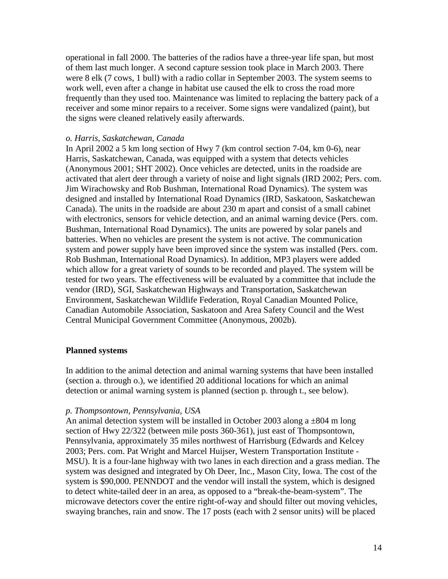operational in fall 2000. The batteries of the radios have a three-year life span, but most of them last much longer. A second capture session took place in March 2003. There were 8 elk (7 cows, 1 bull) with a radio collar in September 2003. The system seems to work well, even after a change in habitat use caused the elk to cross the road more frequently than they used too. Maintenance was limited to replacing the battery pack of a receiver and some minor repairs to a receiver. Some signs were vandalized (paint), but the signs were cleaned relatively easily afterwards.

### *o. Harris, Saskatchewan, Canada*

In April 2002 a 5 km long section of Hwy 7 (km control section 7-04, km 0-6), near Harris, Saskatchewan, Canada, was equipped with a system that detects vehicles (Anonymous 2001; SHT 2002). Once vehicles are detected, units in the roadside are activated that alert deer through a variety of noise and light signals (IRD 2002; Pers. com. Jim Wirachowsky and Rob Bushman, International Road Dynamics). The system was designed and installed by International Road Dynamics (IRD, Saskatoon, Saskatchewan Canada). The units in the roadside are about 230 m apart and consist of a small cabinet with electronics, sensors for vehicle detection, and an animal warning device (Pers. com. Bushman, International Road Dynamics). The units are powered by solar panels and batteries. When no vehicles are present the system is not active. The communication system and power supply have been improved since the system was installed (Pers. com. Rob Bushman, International Road Dynamics). In addition, MP3 players were added which allow for a great variety of sounds to be recorded and played. The system will be tested for two years. The effectiveness will be evaluated by a committee that include the vendor (IRD), SGI, Saskatchewan Highways and Transportation, Saskatchewan Environment, Saskatchewan Wildlife Federation, Royal Canadian Mounted Police, Canadian Automobile Association, Saskatoon and Area Safety Council and the West Central Municipal Government Committee (Anonymous, 2002b).

# **Planned systems**

In addition to the animal detection and animal warning systems that have been installed (section a. through o.), we identified 20 additional locations for which an animal detection or animal warning system is planned (section p. through t., see below).

# *p. Thompsontown, Pennsylvania, USA*

An animal detection system will be installed in October 2003 along a  $\pm 804$  m long section of Hwy 22/322 (between mile posts 360-361), just east of Thompsontown, Pennsylvania, approximately 35 miles northwest of Harrisburg (Edwards and Kelcey 2003; Pers. com. Pat Wright and Marcel Huijser, Western Transportation Institute - MSU). It is a four-lane highway with two lanes in each direction and a grass median. The system was designed and integrated by Oh Deer, Inc., Mason City, Iowa. The cost of the system is \$90,000. PENNDOT and the vendor will install the system, which is designed to detect white-tailed deer in an area, as opposed to a "break-the-beam-system". The microwave detectors cover the entire right-of-way and should filter out moving vehicles, swaying branches, rain and snow. The 17 posts (each with 2 sensor units) will be placed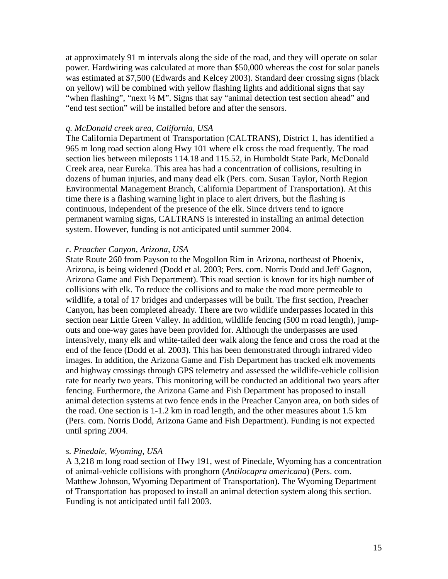at approximately 91 m intervals along the side of the road, and they will operate on solar power. Hardwiring was calculated at more than \$50,000 whereas the cost for solar panels was estimated at \$7,500 (Edwards and Kelcey 2003). Standard deer crossing signs (black on yellow) will be combined with yellow flashing lights and additional signs that say "when flashing", "next  $\frac{1}{2}$  M". Signs that say "animal detection test section ahead" and "end test section" will be installed before and after the sensors.

#### *q. McDonald creek area, California, USA*

The California Department of Transportation (CALTRANS), District 1, has identified a 965 m long road section along Hwy 101 where elk cross the road frequently. The road section lies between mileposts 114.18 and 115.52, in Humboldt State Park, McDonald Creek area, near Eureka. This area has had a concentration of collisions, resulting in dozens of human injuries, and many dead elk (Pers. com. Susan Taylor, North Region Environmental Management Branch, California Department of Transportation). At this time there is a flashing warning light in place to alert drivers, but the flashing is continuous, independent of the presence of the elk. Since drivers tend to ignore permanent warning signs, CALTRANS is interested in installing an animal detection system. However, funding is not anticipated until summer 2004.

### *r. Preacher Canyon, Arizona, USA*

State Route 260 from Payson to the Mogollon Rim in Arizona, northeast of Phoenix, Arizona, is being widened (Dodd et al. 2003; Pers. com. Norris Dodd and Jeff Gagnon, Arizona Game and Fish Department). This road section is known for its high number of collisions with elk. To reduce the collisions and to make the road more permeable to wildlife, a total of 17 bridges and underpasses will be built. The first section, Preacher Canyon, has been completed already. There are two wildlife underpasses located in this section near Little Green Valley. In addition, wildlife fencing (500 m road length), jumpouts and one-way gates have been provided for. Although the underpasses are used intensively, many elk and white-tailed deer walk along the fence and cross the road at the end of the fence (Dodd et al. 2003). This has been demonstrated through infrared video images. In addition, the Arizona Game and Fish Department has tracked elk movements and highway crossings through GPS telemetry and assessed the wildlife-vehicle collision rate for nearly two years. This monitoring will be conducted an additional two years after fencing. Furthermore, the Arizona Game and Fish Department has proposed to install animal detection systems at two fence ends in the Preacher Canyon area, on both sides of the road. One section is 1-1.2 km in road length, and the other measures about 1.5 km (Pers. com. Norris Dodd, Arizona Game and Fish Department). Funding is not expected until spring 2004.

#### *s. Pinedale, Wyoming, USA*

A 3,218 m long road section of Hwy 191, west of Pinedale, Wyoming has a concentration of animal-vehicle collisions with pronghorn (*Antilocapra americana*) (Pers. com. Matthew Johnson, Wyoming Department of Transportation). The Wyoming Department of Transportation has proposed to install an animal detection system along this section. Funding is not anticipated until fall 2003.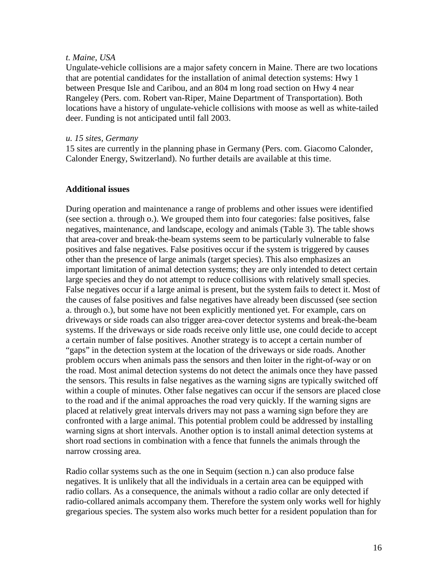## *t. Maine, USA*

Ungulate-vehicle collisions are a major safety concern in Maine. There are two locations that are potential candidates for the installation of animal detection systems: Hwy 1 between Presque Isle and Caribou, and an 804 m long road section on Hwy 4 near Rangeley (Pers. com. Robert van-Riper, Maine Department of Transportation). Both locations have a history of ungulate-vehicle collisions with moose as well as white-tailed deer. Funding is not anticipated until fall 2003.

## *u. 15 sites, Germany*

15 sites are currently in the planning phase in Germany (Pers. com. Giacomo Calonder, Calonder Energy, Switzerland). No further details are available at this time.

# **Additional issues**

During operation and maintenance a range of problems and other issues were identified (see section a. through o.). We grouped them into four categories: false positives, false negatives, maintenance, and landscape, ecology and animals (Table 3). The table shows that area-cover and break-the-beam systems seem to be particularly vulnerable to false positives and false negatives. False positives occur if the system is triggered by causes other than the presence of large animals (target species). This also emphasizes an important limitation of animal detection systems; they are only intended to detect certain large species and they do not attempt to reduce collisions with relatively small species. False negatives occur if a large animal is present, but the system fails to detect it. Most of the causes of false positives and false negatives have already been discussed (see section a. through o.), but some have not been explicitly mentioned yet. For example, cars on driveways or side roads can also trigger area-cover detector systems and break-the-beam systems. If the driveways or side roads receive only little use, one could decide to accept a certain number of false positives. Another strategy is to accept a certain number of "gaps" in the detection system at the location of the driveways or side roads. Another problem occurs when animals pass the sensors and then loiter in the right-of-way or on the road. Most animal detection systems do not detect the animals once they have passed the sensors. This results in false negatives as the warning signs are typically switched off within a couple of minutes. Other false negatives can occur if the sensors are placed close to the road and if the animal approaches the road very quickly. If the warning signs are placed at relatively great intervals drivers may not pass a warning sign before they are confronted with a large animal. This potential problem could be addressed by installing warning signs at short intervals. Another option is to install animal detection systems at short road sections in combination with a fence that funnels the animals through the narrow crossing area.

Radio collar systems such as the one in Sequim (section n.) can also produce false negatives. It is unlikely that all the individuals in a certain area can be equipped with radio collars. As a consequence, the animals without a radio collar are only detected if radio-collared animals accompany them. Therefore the system only works well for highly gregarious species. The system also works much better for a resident population than for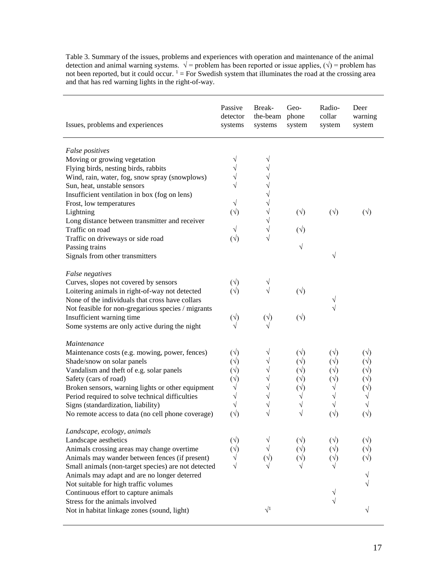Table 3. Summary of the issues, problems and experiences with operation and maintenance of the animal detection and animal warning systems.  $\sqrt{ }$  = problem has been reported or issue applies,  $(\sqrt{ })$  = problem has not been reported, but it could occur.  $1 =$  For Swedish system that illuminates the road at the crossing area and that has red warning lights in the right-of-way.

| Issues, problems and experiences                    | Passive<br>detector<br>systems | Break-<br>the-beam phone<br>systems | Geo-<br>system | Radio-<br>collar<br>system | Deer<br>warning<br>system |
|-----------------------------------------------------|--------------------------------|-------------------------------------|----------------|----------------------------|---------------------------|
| False positives                                     |                                |                                     |                |                            |                           |
| Moving or growing vegetation                        |                                |                                     |                |                            |                           |
| Flying birds, nesting birds, rabbits                |                                |                                     |                |                            |                           |
| Wind, rain, water, fog, snow spray (snowplows)      |                                |                                     |                |                            |                           |
| Sun, heat, unstable sensors                         |                                |                                     |                |                            |                           |
| Insufficient ventilation in box (fog on lens)       |                                |                                     |                |                            |                           |
| Frost, low temperatures                             |                                |                                     |                |                            |                           |
| Lightning                                           | $(\vee)$                       |                                     | $(\vee)$       | $(\sqrt{2})$               | $(\sqrt{2})$              |
| Long distance between transmitter and receiver      |                                |                                     |                |                            |                           |
| Traffic on road                                     |                                |                                     | $(\vee)$       |                            |                           |
| Traffic on driveways or side road                   | $(\vee)$                       |                                     |                |                            |                           |
| Passing trains                                      |                                |                                     |                |                            |                           |
| Signals from other transmitters                     |                                |                                     |                | V                          |                           |
| False negatives                                     |                                |                                     |                |                            |                           |
| Curves, slopes not covered by sensors               | $(\sqrt{2})$                   |                                     |                |                            |                           |
| Loitering animals in right-of-way not detected      | $(\sqrt{2})$                   |                                     | $(\vee)$       |                            |                           |
| None of the individuals that cross have collars     |                                |                                     |                |                            |                           |
| Not feasible for non-gregarious species / migrants  |                                |                                     |                |                            |                           |
| Insufficient warning time                           | $(\vee)$                       | $(\vee)$                            | $(\sqrt{2})$   |                            |                           |
| Some systems are only active during the night       |                                |                                     |                |                            |                           |
| Maintenance                                         |                                |                                     |                |                            |                           |
| Maintenance costs (e.g. mowing, power, fences)      | $(\sqrt{2})$                   |                                     | $(\vee)$       | $(\sqrt{2})$               |                           |
| Shade/snow on solar panels                          | $(\sqrt{2})$                   |                                     | $(\vee)$       | $(\sqrt{2})$               |                           |
| Vandalism and theft of e.g. solar panels            |                                |                                     |                |                            |                           |
| Safety (cars of road)                               | $(\sqrt{2})$                   |                                     |                |                            |                           |
| Broken sensors, warning lights or other equipment   |                                |                                     |                |                            |                           |
| Period required to solve technical difficulties     |                                |                                     |                |                            |                           |
| Signs (standardization, liability)                  |                                |                                     |                |                            |                           |
| No remote access to data (no cell phone coverage)   | $(\vee)$                       |                                     |                | $(\vee)$                   | $(\vee)$                  |
| Landscape, ecology, animals                         |                                |                                     |                |                            |                           |
| Landscape aesthetics                                | $(\sqrt{2})$                   |                                     |                | $(\sqrt{2})$               | $(\sqrt{ } )$             |
| Animals crossing areas may change overtime          |                                |                                     |                |                            |                           |
| Animals may wander between fences (if present)      |                                |                                     |                |                            |                           |
| Small animals (non-target species) are not detected |                                |                                     |                |                            |                           |
| Animals may adapt and are no longer deterred        |                                |                                     |                |                            |                           |
| Not suitable for high traffic volumes               |                                |                                     |                |                            |                           |
| Continuous effort to capture animals                |                                |                                     |                |                            |                           |
| Stress for the animals involved                     |                                |                                     |                |                            |                           |
| Not in habitat linkage zones (sound, light)         |                                | $\sqrt{1}$                          |                |                            |                           |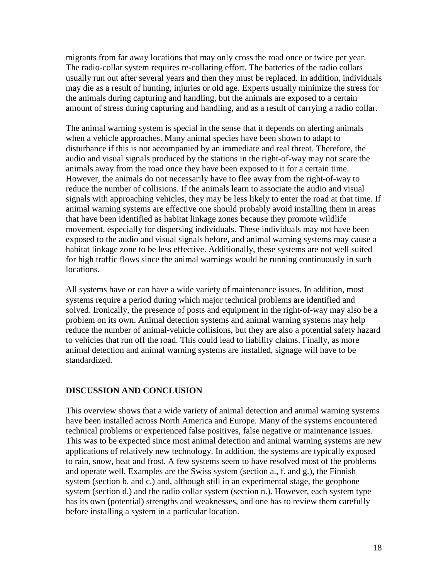migrants from far away locations that may only cross the road once or twice per year. The radio-collar system requires re-collaring effort. The batteries of the radio collars usually run out after several years and then they must be replaced. In addition, individuals may die as a result of hunting, injuries or old age. Experts usually minimize the stress for the animals during capturing and handling, but the animals are exposed to a certain amount of stress during capturing and handling, and as a result of carrying a radio collar.

The animal warning system is special in the sense that it depends on alerting animals when a vehicle approaches. Many animal species have been shown to adapt to disturbance if this is not accompanied by an immediate and real threat. Therefore, the audio and visual signals produced by the stations in the right-of-way may not scare the animals away from the road once they have been exposed to it for a certain time. However, the animals do not necessarily have to flee away from the right-of-way to reduce the number of collisions. If the animals learn to associate the audio and visual signals with approaching vehicles, they may be less likely to enter the road at that time. If animal warning systems are effective one should probably avoid installing them in areas that have been identified as habitat linkage zones because they promote wildlife movement, especially for dispersing individuals. These individuals may not have been exposed to the audio and visual signals before, and animal warning systems may cause a habitat linkage zone to be less effective. Additionally, these systems are not well suited for high traffic flows since the animal warnings would be running continuously in such locations.

All systems have or can have a wide variety of maintenance issues. In addition, most systems require a period during which major technical problems are identified and solved. Ironically, the presence of posts and equipment in the right-of-way may also be a problem on its own. Animal detection systems and animal warning systems may help reduce the number of animal-vehicle collisions, but they are also a potential safety hazard to vehicles that run off the road. This could lead to liability claims. Finally, as more animal detection and animal warning systems are installed, signage will have to be standardized.

# **DISCUSSION AND CONCLUSION**

This overview shows that a wide variety of animal detection and animal warning systems have been installed across North America and Europe. Many of the systems encountered technical problems or experienced false positives, false negative or maintenance issues. This was to be expected since most animal detection and animal warning systems are new applications of relatively new technology. In addition, the systems are typically exposed to rain, snow, heat and frost. A few systems seem to have resolved most of the problems and operate well. Examples are the Swiss system (section a., f. and g.), the Finnish system (section b. and c.) and, although still in an experimental stage, the geophone system (section d.) and the radio collar system (section n.). However, each system type has its own (potential) strengths and weaknesses, and one has to review them carefully before installing a system in a particular location.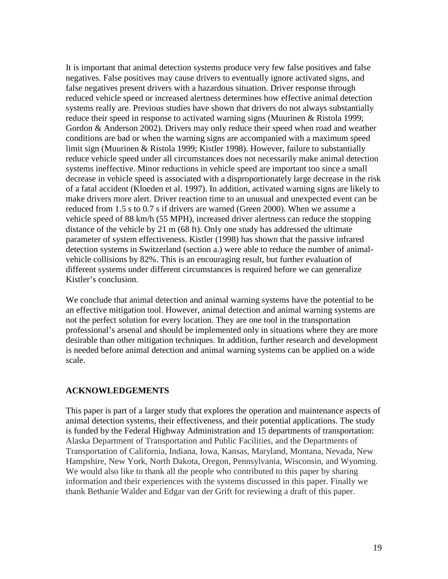It is important that animal detection systems produce very few false positives and false negatives. False positives may cause drivers to eventually ignore activated signs, and false negatives present drivers with a hazardous situation. Driver response through reduced vehicle speed or increased alertness determines how effective animal detection systems really are. Previous studies have shown that drivers do not always substantially reduce their speed in response to activated warning signs (Muurinen & Ristola 1999; Gordon & Anderson 2002). Drivers may only reduce their speed when road and weather conditions are bad or when the warning signs are accompanied with a maximum speed limit sign (Muurinen & Ristola 1999; Kistler 1998). However, failure to substantially reduce vehicle speed under all circumstances does not necessarily make animal detection systems ineffective. Minor reductions in vehicle speed are important too since a small decrease in vehicle speed is associated with a disproportionately large decrease in the risk of a fatal accident (Kloeden et al. 1997). In addition, activated warning signs are likely to make drivers more alert. Driver reaction time to an unusual and unexpected event can be reduced from 1.5 s to 0.7 s if drivers are warned (Green 2000). When we assume a vehicle speed of 88 km/h (55 MPH), increased driver alertness can reduce the stopping distance of the vehicle by 21 m (68 ft). Only one study has addressed the ultimate parameter of system effectiveness. Kistler (1998) has shown that the passive infrared detection systems in Switzerland (section a.) were able to reduce the number of animalvehicle collisions by 82%. This is an encouraging result, but further evaluation of different systems under different circumstances is required before we can generalize Kistler's conclusion.

We conclude that animal detection and animal warning systems have the potential to be an effective mitigation tool. However, animal detection and animal warning systems are not the perfect solution for every location. They are one tool in the transportation professional's arsenal and should be implemented only in situations where they are more desirable than other mitigation techniques. In addition, further research and development is needed before animal detection and animal warning systems can be applied on a wide scale.

# **ACKNOWLEDGEMENTS**

This paper is part of a larger study that explores the operation and maintenance aspects of animal detection systems, their effectiveness, and their potential applications. The study is funded by the Federal Highway Administration and 15 departments of transportation: Alaska Department of Transportation and Public Facilities, and the Departments of Transportation of California, Indiana, Iowa, Kansas, Maryland, Montana, Nevada, New Hampshire, New York, North Dakota, Oregon, Pennsylvania, Wisconsin, and Wyoming. We would also like to thank all the people who contributed to this paper by sharing information and their experiences with the systems discussed in this paper. Finally we thank Bethanie Walder and Edgar van der Grift for reviewing a draft of this paper.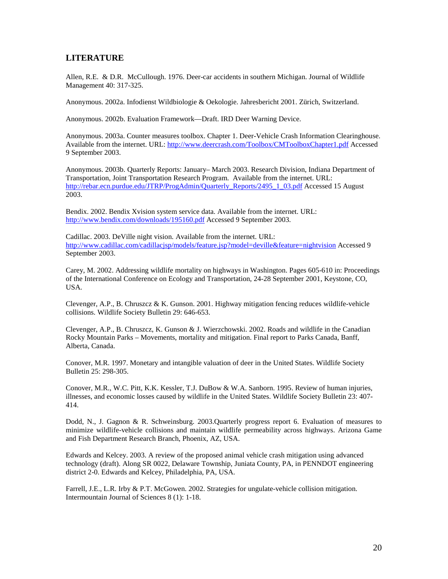## **LITERATURE**

Allen, R.E. & D.R. McCullough. 1976. Deer-car accidents in southern Michigan. Journal of Wildlife Management 40: 317-325.

Anonymous. 2002a. Infodienst Wildbiologie & Oekologie. Jahresbericht 2001. Zürich, Switzerland.

Anonymous. 2002b. Evaluation Framework—Draft. IRD Deer Warning Device.

Anonymous. 2003a. Counter measures toolbox. Chapter 1. Deer-Vehicle Crash Information Clearinghouse. Available from the internet. URL:<http://www.deercrash.com/Toolbox/CMToolboxChapter1.pdf> Accessed 9 September 2003.

Anonymous. 2003b. Quarterly Reports: January– March 2003. Research Division, Indiana Department of Transportation, Joint Transportation Research Program. Available from the internet. URL: [http://rebar.ecn.purdue.edu/JTRP/ProgAdmin/Quarterly\\_Reports/2495\\_1\\_03.pdf](http://rebar.ecn.purdue.edu/JTRP/ProgAdmin/Quarterly_Reports/2495_1_03.pdf) Accessed 15 August 2003.

Bendix. 2002. Bendix Xvision system service data. Available from the internet. URL: <http://www.bendix.com/downloads/195160.pdf> Accessed 9 September 2003.

Cadillac. 2003. DeVille night vision. Available from the internet. URL: <http://www.cadillac.com/cadillacjsp/models/feature.jsp?model=deville&feature=nightvision> Accessed 9 September 2003.

Carey, M. 2002. Addressing wildlife mortality on highways in Washington. Pages 605-610 in: Proceedings of the International Conference on Ecology and Transportation, 24-28 September 2001, Keystone, CO, USA.

Clevenger, A.P., B. Chruszcz & K. Gunson. 2001. Highway mitigation fencing reduces wildlife-vehicle collisions. Wildlife Society Bulletin 29: 646-653.

Clevenger, A.P., B. Chruszcz, K. Gunson & J. Wierzchowski. 2002. Roads and wildlife in the Canadian Rocky Mountain Parks – Movements, mortality and mitigation. Final report to Parks Canada, Banff, Alberta, Canada.

Conover, M.R. 1997. Monetary and intangible valuation of deer in the United States. Wildlife Society Bulletin 25: 298-305.

Conover, M.R., W.C. Pitt, K.K. Kessler, T.J. DuBow & W.A. Sanborn. 1995. Review of human injuries, illnesses, and economic losses caused by wildlife in the United States. Wildlife Society Bulletin 23: 407- 414.

Dodd, N., J. Gagnon & R. Schweinsburg. 2003.Quarterly progress report 6. Evaluation of measures to minimize wildlife-vehicle collisions and maintain wildlife permeability across highways. Arizona Game and Fish Department Research Branch, Phoenix, AZ, USA.

Edwards and Kelcey. 2003. A review of the proposed animal vehicle crash mitigation using advanced technology (draft). Along SR 0022, Delaware Township, Juniata County, PA, in PENNDOT engineering district 2-0. Edwards and Kelcey, Philadelphia, PA, USA.

Farrell, J.E., L.R. Irby & P.T. McGowen. 2002. Strategies for ungulate-vehicle collision mitigation. Intermountain Journal of Sciences 8 (1): 1-18.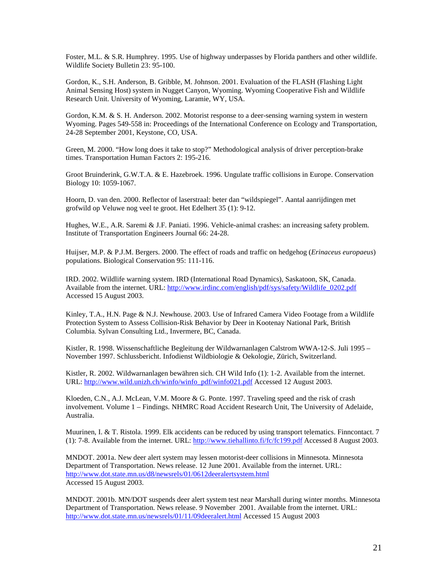Foster, M.L. & S.R. Humphrey. 1995. Use of highway underpasses by Florida panthers and other wildlife. Wildlife Society Bulletin 23: 95-100.

Gordon, K., S.H. Anderson, B. Gribble, M. Johnson. 2001. Evaluation of the FLASH (Flashing Light Animal Sensing Host) system in Nugget Canyon, Wyoming. Wyoming Cooperative Fish and Wildlife Research Unit. University of Wyoming, Laramie, WY, USA.

Gordon, K.M. & S. H. Anderson. 2002. Motorist response to a deer-sensing warning system in western Wyoming. Pages 549-558 in: Proceedings of the International Conference on Ecology and Transportation, 24-28 September 2001, Keystone, CO, USA.

Green, M. 2000. "How long does it take to stop?" Methodological analysis of driver perception-brake times. Transportation Human Factors 2: 195-216.

Groot Bruinderink, G.W.T.A. & E. Hazebroek. 1996. Ungulate traffic collisions in Europe. Conservation Biology 10: 1059-1067.

Hoorn, D. van den. 2000. Reflector of laserstraal: beter dan "wildspiegel". Aantal aanrijdingen met grofwild op Veluwe nog veel te groot. Het Edelhert 35 (1): 9-12.

Hughes, W.E., A.R. Saremi & J.F. Paniati. 1996. Vehicle-animal crashes: an increasing safety problem. Institute of Transportation Engineers Journal 66: 24-28.

Huijser, M.P. & P.J.M. Bergers. 2000. The effect of roads and traffic on hedgehog (*Erinaceus europaeus*) populations. Biological Conservation 95: 111-116.

IRD. 2002. Wildlife warning system. IRD (International Road Dynamics), Saskatoon, SK, Canada. Available from the internet. URL: [http://www.irdinc.com/english/pdf/sys/safety/Wildlife\\_0202.pdf](http://www.irdinc.com/english/pdf/sys/safety/Wildlife_0202.pdf) Accessed 15 August 2003.

Kinley, T.A., H.N. Page & N.J. Newhouse. 2003. Use of Infrared Camera Video Footage from a Wildlife Protection System to Assess Collision-Risk Behavior by Deer in Kootenay National Park, British Columbia. Sylvan Consulting Ltd., Invermere, BC, Canada.

Kistler, R. 1998. Wissenschaftliche Begleitung der Wildwarnanlagen Calstrom WWA-12-S. Juli 1995 – November 1997. Schlussbericht. Infodienst Wildbiologie & Oekologie, Zürich, Switzerland.

Kistler, R. 2002. Wildwarnanlagen bewähren sich. CH Wild Info (1): 1-2. Available from the internet. URL: [http://www.wild.unizh.ch/winfo/winfo\\_pdf/winfo021.pdf](http://www.wild.unizh.ch/winfo/winfo_pdf/winfo021.pdf) Accessed 12 August 2003.

Kloeden, C.N., A.J. McLean, V.M. Moore & G. Ponte. 1997. Traveling speed and the risk of crash involvement. Volume 1 – Findings. NHMRC Road Accident Research Unit, The University of Adelaide, Australia.

Muurinen, I. & T. Ristola. 1999. Elk accidents can be reduced by using transport telematics. Finncontact. 7 (1): 7-8. Available from the internet. URL:<http://www.tiehallinto.fi/fc/fc199.pdf> Accessed 8 August 2003.

MNDOT. 2001a. New deer alert system may lessen motorist-deer collisions in Minnesota. Minnesota Department of Transportation. News release. 12 June 2001. Available from the internet. URL: <http://www.dot.state.mn.us/d8/newsrels/01/0612deeralertsystem.html> Accessed 15 August 2003.

MNDOT. 2001b. MN/DOT suspends deer alert system test near Marshall during winter months. Minnesota Department of Transportation. News release. 9 November 2001. Available from the internet. URL: <http://www.dot.state.mn.us/newsrels/01/11/09deeralert.html> Accessed 15 August 2003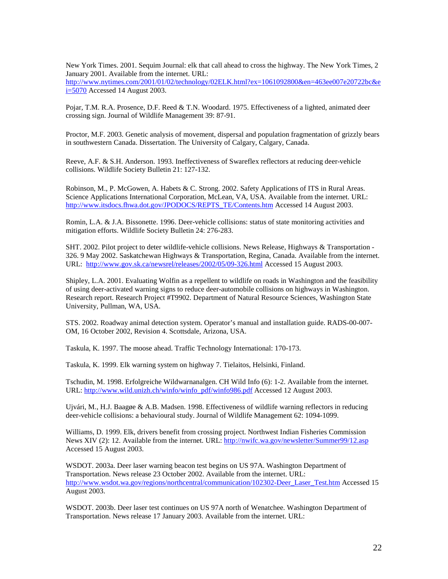New York Times. 2001. Sequim Journal: elk that call ahead to cross the highway. The New York Times, 2 January 2001. Available from the internet. URL:

[http://www.nytimes.com/2001/01/02/technology/02ELK.html?ex=1061092800&en=463ee007e20722bc&e](http://www.nytimes.com/2001/01/02/technology/02ELK.html?ex=1061092800&en=463ee007e20722bc&ei=5070)  $i=5070$  Accessed 14 August 2003.

Pojar, T.M. R.A. Prosence, D.F. Reed & T.N. Woodard. 1975. Effectiveness of a lighted, animated deer crossing sign. Journal of Wildlife Management 39: 87-91.

Proctor, M.F. 2003. Genetic analysis of movement, dispersal and population fragmentation of grizzly bears in southwestern Canada. Dissertation. The University of Calgary, Calgary, Canada.

Reeve, A.F. & S.H. Anderson. 1993. Ineffectiveness of Swareflex reflectors at reducing deer-vehicle collisions. Wildlife Society Bulletin 21: 127-132.

Robinson, M., P. McGowen, A. Habets & C. Strong. 2002. Safety Applications of ITS in Rural Areas. Science Applications International Corporation, McLean, VA, USA. Available from the internet. URL: [http://www.itsdocs.fhwa.dot.gov/JPODOCS/REPTS\\_TE/Contents.htm](http://www.itsdocs.fhwa.dot.gov/JPODOCS/REPTS_TE/Contents.htm) Accessed 14 August 2003.

Romin, L.A. & J.A. Bissonette. 1996. Deer-vehicle collisions: status of state monitoring activities and mitigation efforts. Wildlife Society Bulletin 24: 276-283.

SHT. 2002. Pilot project to deter wildlife-vehicle collisions. News Release, Highways & Transportation - 326. 9 May 2002. Saskatchewan Highways & Transportation, Regina, Canada. Available from the internet. URL: <http://www.gov.sk.ca/newsrel/releases/2002/05/09-326.html> Accessed 15 August 2003.

Shipley, L.A. 2001. Evaluating Wolfin as a repellent to wildlife on roads in Washington and the feasibility of using deer-activated warning signs to reduce deer-automobile collisions on highways in Washington. Research report. Research Project #T9902. Department of Natural Resource Sciences, Washington State University, Pullman, WA, USA.

STS. 2002. Roadway animal detection system. Operator's manual and installation guide. RADS-00-007- OM, 16 October 2002, Revision 4. Scottsdale, Arizona, USA.

Taskula, K. 1997. The moose ahead. Traffic Technology International: 170-173.

Taskula, K. 1999. Elk warning system on highway 7. Tielaitos, Helsinki, Finland.

Tschudin, M. 1998. Erfolgreiche Wildwarnanalgen. CH Wild Info (6): 1-2. Available from the internet. URL: [http://www.wild.unizh.ch/winfo/winfo\\_pdf/winfo986.pdf](http://www.wild.unizh.ch/winfo/winfo_pdf/winfo986.pdf) Accessed 12 August 2003.

Ujvári, M., H.J. Baagøe & A.B. Madsen. 1998. Effectiveness of wildlife warning reflectors in reducing deer-vehicle collisions: a behavioural study. Journal of Wildlife Management 62: 1094-1099.

Williams, D. 1999. Elk, drivers benefit from crossing project. Northwest Indian Fisheries Commission News XIV (2): 12. Available from the internet. URL:<http://nwifc.wa.gov/newsletter/Summer99/12.asp> Accessed 15 August 2003.

WSDOT. 2003a. Deer laser warning beacon test begins on US 97A. Washington Department of Transportation. News release 23 October 2002. Available from the internet. URL: [http://www.wsdot.wa.gov/regions/northcentral/communication/102302-Deer\\_Laser\\_Test.htm](http://www.wsdot.wa.gov/regions/northcentral/communication/102302-Deer_Laser_Test.htm) Accessed 15 August 2003.

WSDOT. 2003b. Deer laser test continues on US 97A north of Wenatchee. Washington Department of Transportation. News release 17 January 2003. Available from the internet. URL: